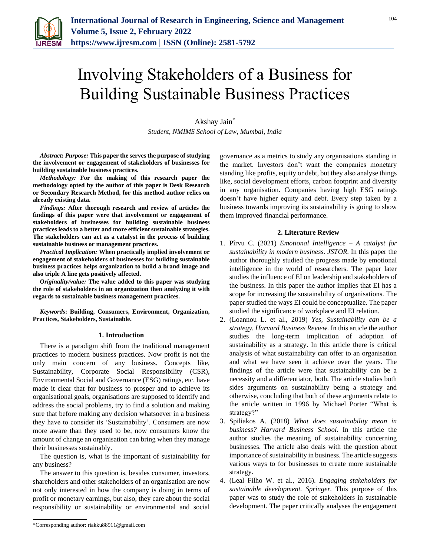

# Involving Stakeholders of a Business for Building Sustainable Business Practices

Akshay Jain\* *Student, NMIMS School of Law, Mumbai, India*

*Abstract***:** *Purpose:* **This paper the serves the purpose of studying the involvement or engagement of stakeholders of businesses for building sustainable business practices.**

*Methodology:* **For the making of this research paper the methodology opted by the author of this paper is Desk Research or Secondary Research Method, for this method author relies on already existing data.**

*Findings:* **After thorough research and review of articles the findings of this paper were that involvement or engagement of stakeholders of businesses for building sustainable business practices leads to a better and more efficient sustainable strategies. The stakeholders can act as a catalyst in the process of building sustainable business or management practices.** 

*Practical Implication:* **When practically implied involvement or engagement of stakeholders of businesses for building sustainable business practices helps organization to build a brand image and also triple A line gets positively affected.**

*Originality/value:* **The value added to this paper was studying the role of stakeholders in an organization then analyzing it with regards to sustainable business management practices.** 

*Keywords***: Building, Consumers, Environment, Organization, Practices, Stakeholders, Sustainable.**

## **1. Introduction**

There is a paradigm shift from the traditional management practices to modern business practices. Now profit is not the only main concern of any business. Concepts like, Sustainability, Corporate Social Responsibility (CSR), Environmental Social and Governance (ESG) ratings, etc. have made it clear that for business to prosper and to achieve its organisational goals, organisations are supposed to identify and address the social problems, try to find a solution and making sure that before making any decision whatsoever in a business they have to consider its 'Sustainability'. Consumers are now more aware than they used to be, now consumers know the amount of change an organisation can bring when they manage their businesses sustainably.

The question is, what is the important of sustainability for any business?

The answer to this question is, besides consumer, investors, shareholders and other stakeholders of an organisation are now not only interested in how the company is doing in terms of profit or monetary earnings, but also, they care about the social responsibility or sustainability or environmental and social

\*Corresponding author: riakku88911@gmail.com

governance as a metrics to study any organisations standing in the market. Investors don't want the companies monetary standing like profits, equity or debt, but they also analyse things like, social development efforts, carbon footprint and diversity in any organisation. Companies having high ESG ratings doesn't have higher equity and debt. Every step taken by a business towards improving its sustainability is going to show them improved financial performance.

## **2. Literature Review**

- 1. Pîrvu C. (2021) *Emotional Intelligence – A catalyst for sustainability in modern business. JSTOR.* In this paper the author thoroughly studied the progress made by emotional intelligence in the world of researchers. The paper later studies the influence of EI on leadership and stakeholders of the business. In this paper the author implies that EI has a scope for increasing the sustainability of organisations. The paper studied the ways EI could be conceptualize. The paper studied the significance of workplace and EI relation.
- 2. (Loannou L. et al., 2019) *Yes, Sustainability can be a strategy. Harvard Business Review.* In this article the author studies the long-term implication of adoption of sustainability as a strategy. In this article there is critical analysis of what sustainability can offer to an organisation and what we have seen it achieve over the years. The findings of the article were that sustainability can be a necessity and a differentiator, both. The article studies both sides arguments on sustainability being a strategy and otherwise, concluding that both of these arguments relate to the article written in 1996 by Michael Porter "What is strategy?"
- 3. Spiliakos A. (2018) *What does sustainability mean in business? Harvard Business School.* In this article the author studies the meaning of sustainability concerning businesses. The article also deals with the question about importance of sustainability in business. The article suggests various ways to for businesses to create more sustainable strategy.
- 4. (Leal Filho W. et al., 2016). *Engaging stakeholders for sustainable development. Springer.* This purpose of this paper was to study the role of stakeholders in sustainable development. The paper critically analyses the engagement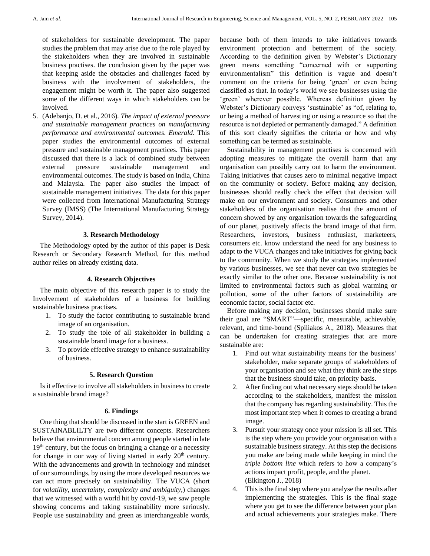of stakeholders for sustainable development. The paper studies the problem that may arise due to the role played by the stakeholders when they are involved in sustainable business practises. the conclusion given by the paper was that keeping aside the obstacles and challenges faced by business with the involvement of stakeholders, the engagement might be worth it. The paper also suggested some of the different ways in which stakeholders can be involved.

5. (Adebanjo, D. et al., 2016)*. The impact of external pressure and sustainable management practices on manufacturing performance and environmental outcomes. Emerald*. This paper studies the environmental outcomes of external pressure and sustainable management practices. This paper discussed that there is a lack of combined study between external pressure sustainable management and environmental outcomes. The study is based on India, China and Malaysia. The paper also studies the impact of sustainable management initiatives. The data for this paper were collected from International Manufacturing Strategy Survey (IMSS) (The International Manufacturing Strategy Survey, 2014).

## **3. Research Methodology**

The Methodology opted by the author of this paper is Desk Research or Secondary Research Method, for this method author relies on already existing data.

## **4. Research Objectives**

The main objective of this research paper is to study the Involvement of stakeholders of a business for building sustainable business practises.

- 1. To study the factor contributing to sustainable brand image of an organisation.
- 2. To study the tole of all stakeholder in building a sustainable brand image for a business.
- 3. To provide effective strategy to enhance sustainability of business.

# **5. Research Question**

Is it effective to involve all stakeholders in business to create a sustainable brand image?

## **6. Findings**

One thing that should be discussed in the start is GREEN and SUSTAINABLILTY are two different concepts. Researchers believe that environmental concern among people started in late 19<sup>th</sup> century, but the focus on bringing a change or a necessity for change in our way of living started in early  $20<sup>th</sup>$  century. With the advancements and growth in technology and mindset of our surroundings, by using the more developed resources we can act more precisely on sustainability. The VUCA (short for *volatility, uncertainty, complexity and ambiguity,*) changes that we witnessed with a world hit by covid-19, we saw people showing concerns and taking sustainability more seriously. People use sustainability and green as interchangeable words,

because both of them intends to take initiatives towards environment protection and betterment of the society. According to the definition given by Webster's Dictionary green means something "concerned with or supporting environmentalism" this definition is vague and doesn't comment on the criteria for being 'green' or even being classified as that. In today's world we see businesses using the 'green' wherever possible. Whereas definition given by Webster's Dictionary conveys 'sustainable' as "of, relating to, or being a method of harvesting or using a resource so that the resource is not depleted or permanently damaged." A definition of this sort clearly signifies the criteria or how and why something can be termed as sustainable.

Sustainability in management practises is concerned with adopting measures to mitigate the overall harm that any organisation can possibly carry out to harm the environment. Taking initiatives that causes zero to minimal negative impact on the community or society. Before making any decision, businesses should really check the effect that decision will make on our environment and society. Consumers and other stakeholders of the organisation realise that the amount of concern showed by any organisation towards the safeguarding of our planet, positively affects the brand image of that firm. Researchers, investors, business enthusiast, marketeers, consumers etc. know understand the need for any business to adapt to the VUCA changes and take initiatives for giving back to the community. When we study the strategies implemented by various businesses, we see that never can two strategies be exactly similar to the other one. Because sustainability is not limited to environmental factors such as global warming or pollution, some of the other factors of sustainability are economic factor, social factor etc.

Before making any decision, businesses should make sure their goal are "SMART"—specific, measurable, achievable, relevant, and time-bound (Spiliakos A., 2018). Measures that can be undertaken for creating strategies that are more sustainable are:

- 1. Find out what sustainability means for the business' stakeholder, make separate groups of stakeholders of your organisation and see what they think are the steps that the business should take, on priority basis.
- 2. After finding out what necessary steps should be taken according to the stakeholders, manifest the mission that the company has regarding sustainability. This the most important step when it comes to creating a brand image.
- 3. Pursuit your strategy once your mission is all set. This is the step where you provide your organisation with a sustainable business strategy. At this step the decisions you make are being made while keeping in mind the *triple bottom line* which refers to how a company's actions impact profit, people, and the planet. (Elkington J., 2018)
- 4. This is the final step where you analyse the results after implementing the strategies. This is the final stage where you get to see the difference between your plan and actual achievements your strategies make. There